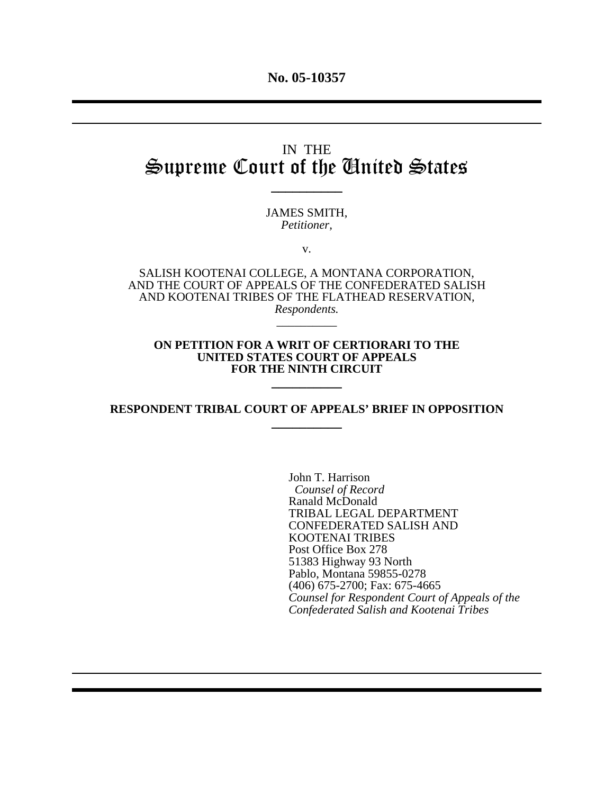# IN THE Supreme Court of the United States

 $\overline{\phantom{a}}$ 

JAMES SMITH, *Petitioner,*

v.

SALISH KOOTENAI COLLEGE, A MONTANA CORPORATION, AND THE COURT OF APPEALS OF THE CONFEDERATED SALISH AND KOOTENAI TRIBES OF THE FLATHEAD RESERVATION, *Respondents.* \_\_\_\_\_\_\_\_\_\_

#### **ON PETITION FOR A WRIT OF CERTIORARI TO THE UNITED STATES COURT OF APPEALS FOR THE NINTH CIRCUIT**

**\_\_\_\_\_\_\_\_\_\_**

**RESPONDENT TRIBAL COURT OF APPEALS' BRIEF IN OPPOSITION \_\_\_\_\_\_\_\_\_\_**

> John T. Harrison  *Counsel of Record* Ranald McDonald TRIBAL LEGAL DEPARTMENT CONFEDERATED SALISH AND KOOTENAI TRIBES Post Office Box 278 51383 Highway 93 North Pablo, Montana 59855-0278 (406) 675-2700; Fax: 675-4665 *Counsel for Respondent Court of Appeals of the Confederated Salish and Kootenai Tribes*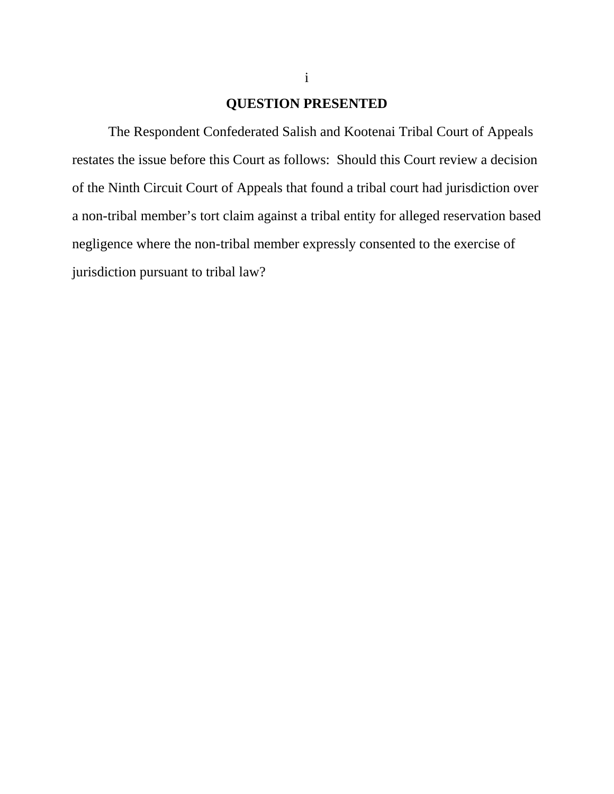## **QUESTION PRESENTED**

The Respondent Confederated Salish and Kootenai Tribal Court of Appeals restates the issue before this Court as follows: Should this Court review a decision of the Ninth Circuit Court of Appeals that found a tribal court had jurisdiction over a non-tribal member's tort claim against a tribal entity for alleged reservation based negligence where the non-tribal member expressly consented to the exercise of jurisdiction pursuant to tribal law?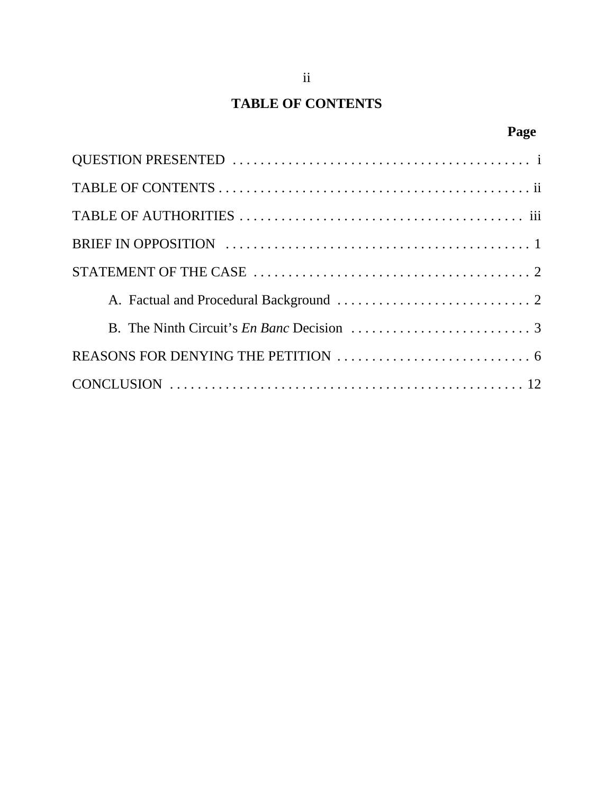# **TABLE OF CONTENTS**

# **Page**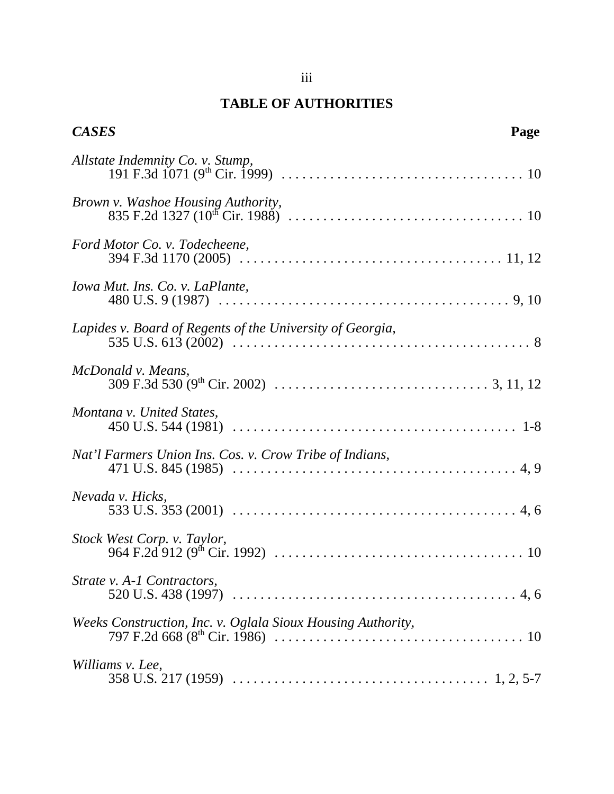## **TABLE OF AUTHORITIES**

| <b>CASES</b>                                                | Page |
|-------------------------------------------------------------|------|
|                                                             |      |
|                                                             |      |
| Ford Motor Co. v. Todecheene,                               |      |
| Iowa Mut. Ins. Co. v. LaPlante,                             |      |
| Lapides v. Board of Regents of the University of Georgia,   |      |
| McDonald v. Means,                                          |      |
| Montana v. United States,                                   |      |
| Nat'l Farmers Union Ins. Cos. v. Crow Tribe of Indians,     |      |
| Nevada v. Hicks,                                            |      |
|                                                             |      |
| Strate v. A-1 Contractors,                                  |      |
| Weeks Construction, Inc. v. Oglala Sioux Housing Authority, |      |
| Williams v. Lee,                                            |      |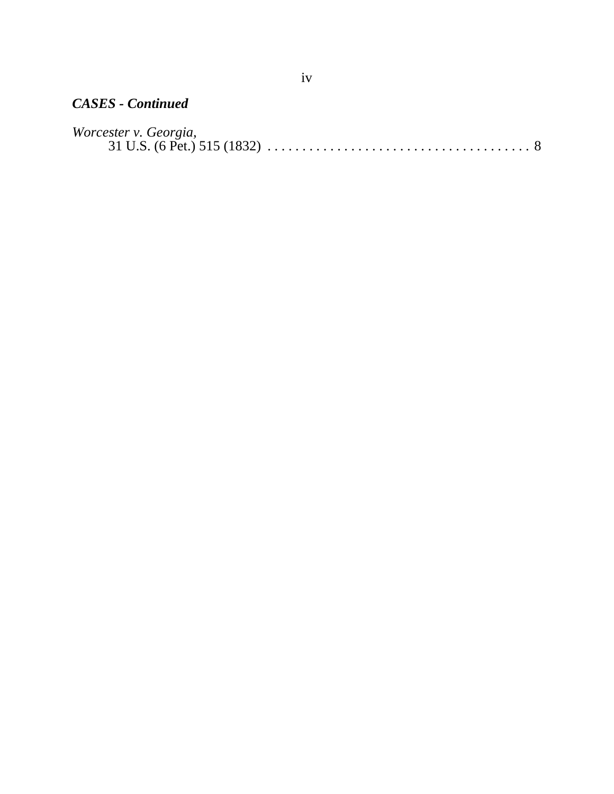## *CASES - Continued*

| Worcester v. Georgia, |  |  |  |  |  |  |  |  |  |  |  |
|-----------------------|--|--|--|--|--|--|--|--|--|--|--|
|                       |  |  |  |  |  |  |  |  |  |  |  |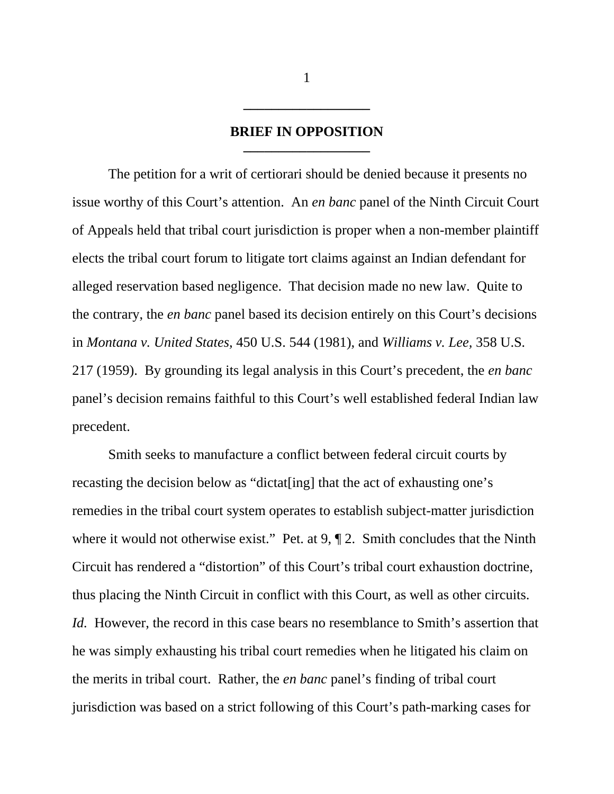#### **BRIEF IN OPPOSITION \_\_\_\_\_\_\_\_\_\_\_\_\_\_\_\_\_\_**

The petition for a writ of certiorari should be denied because it presents no issue worthy of this Court's attention. An *en banc* panel of the Ninth Circuit Court of Appeals held that tribal court jurisdiction is proper when a non-member plaintiff elects the tribal court forum to litigate tort claims against an Indian defendant for alleged reservation based negligence. That decision made no new law. Quite to the contrary, the *en banc* panel based its decision entirely on this Court's decisions in *Montana v. United States,* 450 U.S. 544 (1981), and *Williams v. Lee,* 358 U.S*.* 217 (1959). By grounding its legal analysis in this Court's precedent, the *en banc* panel's decision remains faithful to this Court's well established federal Indian law precedent.

Smith seeks to manufacture a conflict between federal circuit courts by recasting the decision below as "dictat[ing] that the act of exhausting one's remedies in the tribal court system operates to establish subject-matter jurisdiction where it would not otherwise exist." Pet. at 9,  $\P$  2. Smith concludes that the Ninth Circuit has rendered a "distortion" of this Court's tribal court exhaustion doctrine, thus placing the Ninth Circuit in conflict with this Court, as well as other circuits. *Id.* However, the record in this case bears no resemblance to Smith's assertion that he was simply exhausting his tribal court remedies when he litigated his claim on the merits in tribal court. Rather, the *en banc* panel's finding of tribal court jurisdiction was based on a strict following of this Court's path-marking cases for

1

**\_\_\_\_\_\_\_\_\_\_\_\_\_\_\_\_\_\_**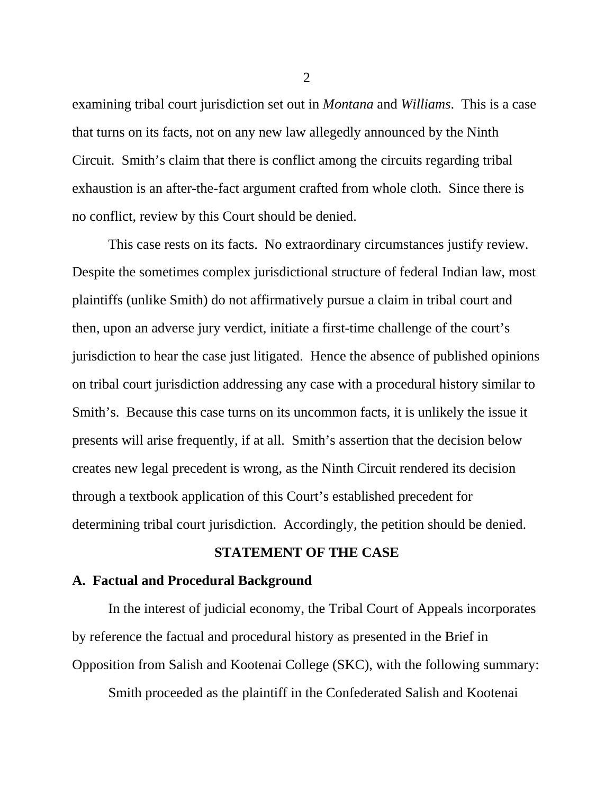examining tribal court jurisdiction set out in *Montana* and *Williams*. This is a case that turns on its facts, not on any new law allegedly announced by the Ninth Circuit. Smith's claim that there is conflict among the circuits regarding tribal exhaustion is an after-the-fact argument crafted from whole cloth. Since there is no conflict, review by this Court should be denied.

This case rests on its facts. No extraordinary circumstances justify review. Despite the sometimes complex jurisdictional structure of federal Indian law, most plaintiffs (unlike Smith) do not affirmatively pursue a claim in tribal court and then, upon an adverse jury verdict, initiate a first-time challenge of the court's jurisdiction to hear the case just litigated. Hence the absence of published opinions on tribal court jurisdiction addressing any case with a procedural history similar to Smith's. Because this case turns on its uncommon facts, it is unlikely the issue it presents will arise frequently, if at all. Smith's assertion that the decision below creates new legal precedent is wrong, as the Ninth Circuit rendered its decision through a textbook application of this Court's established precedent for determining tribal court jurisdiction. Accordingly, the petition should be denied.

### **STATEMENT OF THE CASE**

#### **A. Factual and Procedural Background**

In the interest of judicial economy, the Tribal Court of Appeals incorporates by reference the factual and procedural history as presented in the Brief in Opposition from Salish and Kootenai College (SKC), with the following summary:

Smith proceeded as the plaintiff in the Confederated Salish and Kootenai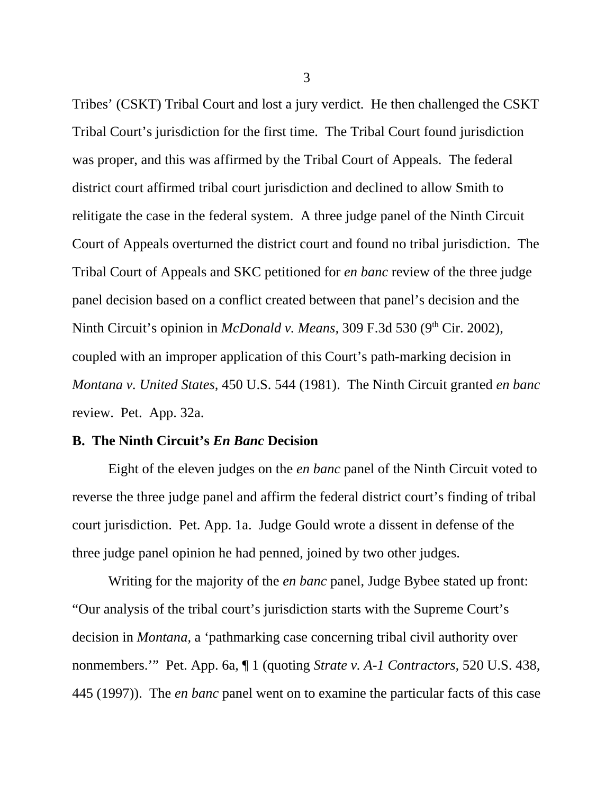Tribes' (CSKT) Tribal Court and lost a jury verdict. He then challenged the CSKT Tribal Court's jurisdiction for the first time. The Tribal Court found jurisdiction was proper, and this was affirmed by the Tribal Court of Appeals. The federal district court affirmed tribal court jurisdiction and declined to allow Smith to relitigate the case in the federal system. A three judge panel of the Ninth Circuit Court of Appeals overturned the district court and found no tribal jurisdiction. The Tribal Court of Appeals and SKC petitioned for *en banc* review of the three judge panel decision based on a conflict created between that panel's decision and the Ninth Circuit's opinion in *McDonald v. Means*, 309 F.3d 530 (9<sup>th</sup> Cir. 2002), coupled with an improper application of this Court's path-marking decision in *Montana v. United States,* 450 U.S. 544 (1981). The Ninth Circuit granted *en banc* review. Pet. App. 32a.

#### **B. The Ninth Circuit's** *En Banc* **Decision**

Eight of the eleven judges on the *en banc* panel of the Ninth Circuit voted to reverse the three judge panel and affirm the federal district court's finding of tribal court jurisdiction. Pet. App. 1a. Judge Gould wrote a dissent in defense of the three judge panel opinion he had penned, joined by two other judges.

Writing for the majority of the *en banc* panel, Judge Bybee stated up front: "Our analysis of the tribal court's jurisdiction starts with the Supreme Court's decision in *Montana,* a 'pathmarking case concerning tribal civil authority over nonmembers.'" Pet. App. 6a, ¶ 1 (quoting *Strate v. A-1 Contractors,* 520 U.S. 438, 445 (1997)). The *en banc* panel went on to examine the particular facts of this case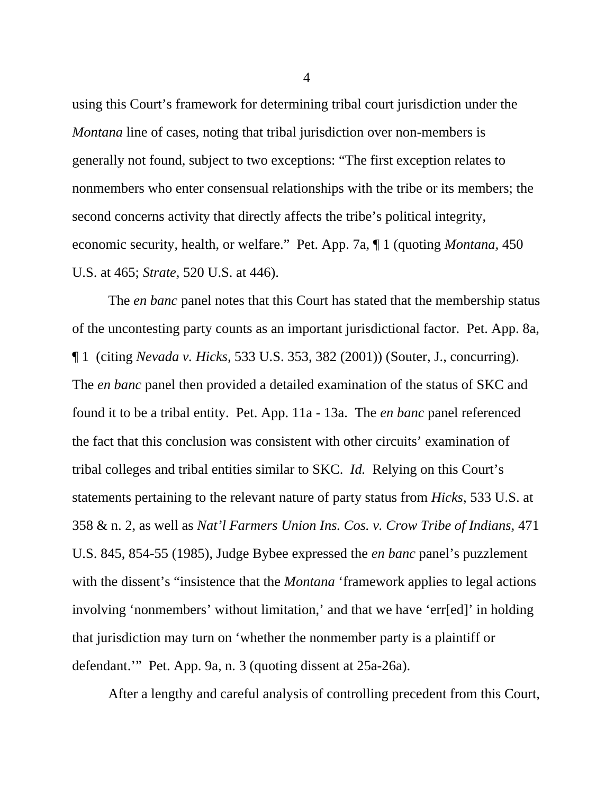using this Court's framework for determining tribal court jurisdiction under the *Montana* line of cases, noting that tribal jurisdiction over non-members is generally not found, subject to two exceptions: "The first exception relates to nonmembers who enter consensual relationships with the tribe or its members; the second concerns activity that directly affects the tribe's political integrity, economic security, health, or welfare." Pet. App. 7a, ¶ 1 (quoting *Montana,* 450 U.S. at 465; *Strate,* 520 U.S. at 446).

The *en banc* panel notes that this Court has stated that the membership status of the uncontesting party counts as an important jurisdictional factor. Pet. App. 8a, ¶ 1 (citing *Nevada v. Hicks,* 533 U.S. 353, 382 (2001)) (Souter, J., concurring). The *en banc* panel then provided a detailed examination of the status of SKC and found it to be a tribal entity. Pet. App. 11a - 13a. The *en banc* panel referenced the fact that this conclusion was consistent with other circuits' examination of tribal colleges and tribal entities similar to SKC. *Id.* Relying on this Court's statements pertaining to the relevant nature of party status from *Hicks*, 533 U.S. at 358 & n. 2, as well as *Nat'l Farmers Union Ins. Cos. v. Crow Tribe of Indians,* 471 U.S. 845, 854-55 (1985), Judge Bybee expressed the *en banc* panel's puzzlement with the dissent's "insistence that the *Montana* 'framework applies to legal actions involving 'nonmembers' without limitation,' and that we have 'err[ed]' in holding that jurisdiction may turn on 'whether the nonmember party is a plaintiff or defendant.'" Pet. App. 9a, n. 3 (quoting dissent at 25a-26a).

After a lengthy and careful analysis of controlling precedent from this Court,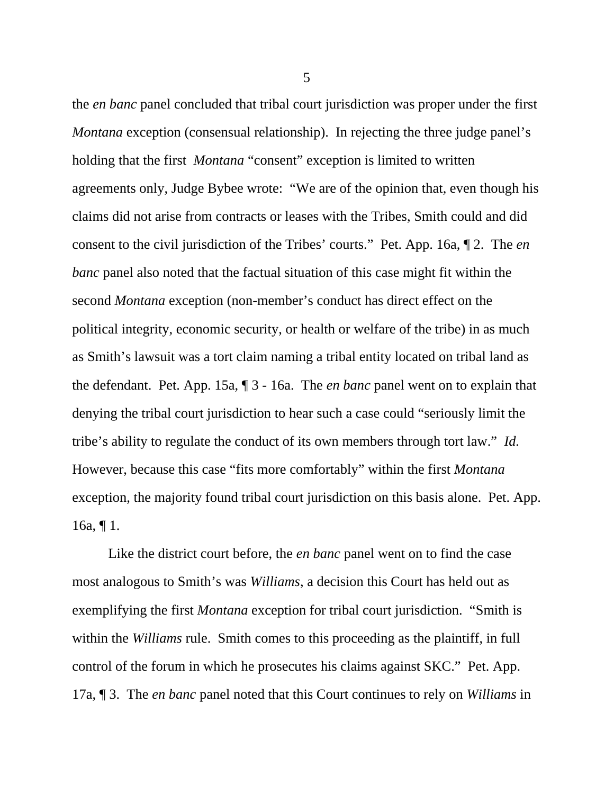the *en banc* panel concluded that tribal court jurisdiction was proper under the first *Montana* exception (consensual relationship). In rejecting the three judge panel's holding that the first *Montana* "consent" exception is limited to written agreements only, Judge Bybee wrote: "We are of the opinion that, even though his claims did not arise from contracts or leases with the Tribes, Smith could and did consent to the civil jurisdiction of the Tribes' courts." Pet. App. 16a, ¶ 2. The *en banc* panel also noted that the factual situation of this case might fit within the second *Montana* exception (non-member's conduct has direct effect on the political integrity, economic security, or health or welfare of the tribe) in as much as Smith's lawsuit was a tort claim naming a tribal entity located on tribal land as the defendant. Pet. App. 15a, ¶ 3 - 16a. The *en banc* panel went on to explain that denying the tribal court jurisdiction to hear such a case could "seriously limit the tribe's ability to regulate the conduct of its own members through tort law." *Id.* However, because this case "fits more comfortably" within the first *Montana* exception, the majority found tribal court jurisdiction on this basis alone. Pet. App. 16a,  $\P$  1.

Like the district court before, the *en banc* panel went on to find the case most analogous to Smith's was *Williams*, a decision this Court has held out as exemplifying the first *Montana* exception for tribal court jurisdiction. "Smith is within the *Williams* rule. Smith comes to this proceeding as the plaintiff, in full control of the forum in which he prosecutes his claims against SKC." Pet. App. 17a, ¶ 3. The *en banc* panel noted that this Court continues to rely on *Williams* in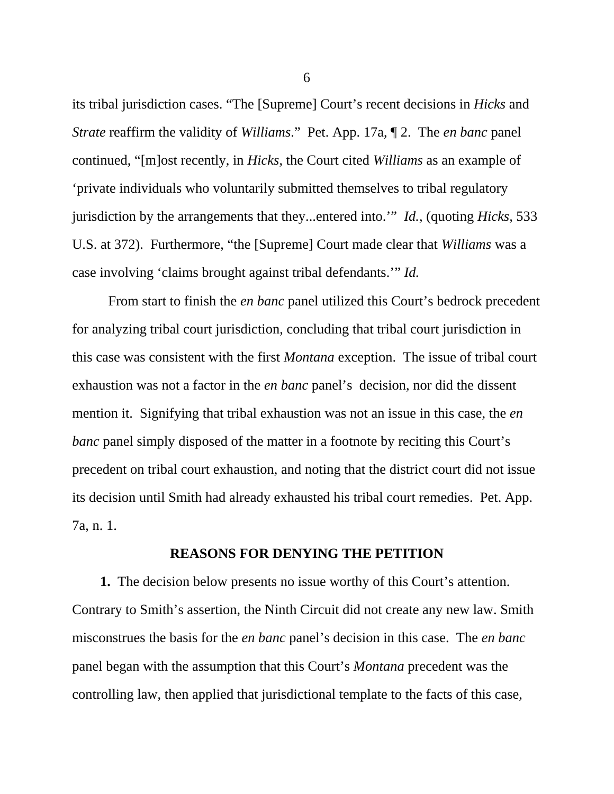its tribal jurisdiction cases. "The [Supreme] Court's recent decisions in *Hicks* and *Strate* reaffirm the validity of *Williams*." Pet. App. 17a, ¶ 2. The *en banc* panel continued, "[m]ost recently, in *Hicks*, the Court cited *Williams* as an example of 'private individuals who voluntarily submitted themselves to tribal regulatory jurisdiction by the arrangements that they...entered into.'" *Id.,* (quoting *Hicks,* 533 U.S. at 372). Furthermore, "the [Supreme] Court made clear that *Williams* was a case involving 'claims brought against tribal defendants.'" *Id.* 

From start to finish the *en banc* panel utilized this Court's bedrock precedent for analyzing tribal court jurisdiction, concluding that tribal court jurisdiction in this case was consistent with the first *Montana* exception. The issue of tribal court exhaustion was not a factor in the *en banc* panel's decision, nor did the dissent mention it. Signifying that tribal exhaustion was not an issue in this case, the *en banc* panel simply disposed of the matter in a footnote by reciting this Court's precedent on tribal court exhaustion, and noting that the district court did not issue its decision until Smith had already exhausted his tribal court remedies. Pet. App. 7a, n. 1.

### **REASONS FOR DENYING THE PETITION**

 **1.** The decision below presents no issue worthy of this Court's attention. Contrary to Smith's assertion, the Ninth Circuit did not create any new law. Smith misconstrues the basis for the *en banc* panel's decision in this case. The *en banc* panel began with the assumption that this Court's *Montana* precedent was the controlling law, then applied that jurisdictional template to the facts of this case,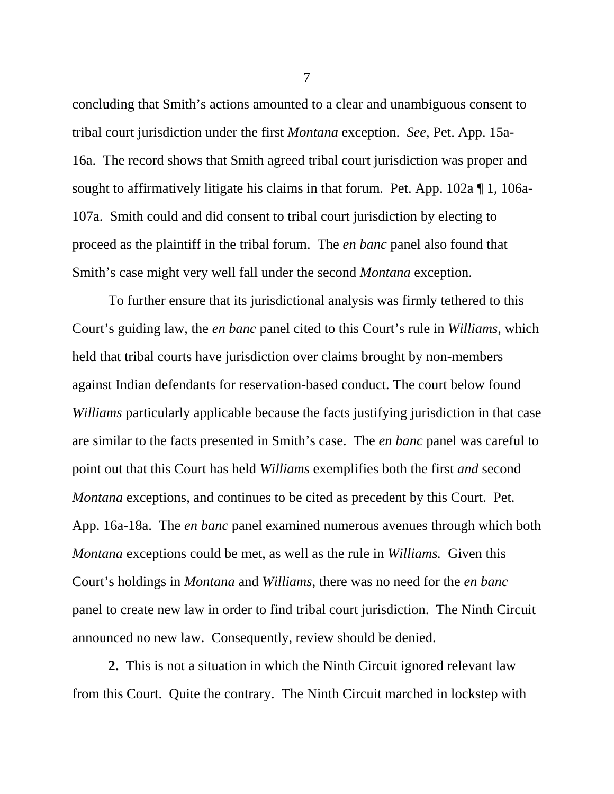concluding that Smith's actions amounted to a clear and unambiguous consent to tribal court jurisdiction under the first *Montana* exception. *See,* Pet. App. 15a-16a. The record shows that Smith agreed tribal court jurisdiction was proper and sought to affirmatively litigate his claims in that forum. Pet. App. 102a ¶ 1, 106a-107a. Smith could and did consent to tribal court jurisdiction by electing to proceed as the plaintiff in the tribal forum. The *en banc* panel also found that Smith's case might very well fall under the second *Montana* exception.

To further ensure that its jurisdictional analysis was firmly tethered to this Court's guiding law, the *en banc* panel cited to this Court's rule in *Williams,* which held that tribal courts have jurisdiction over claims brought by non-members against Indian defendants for reservation-based conduct. The court below found *Williams* particularly applicable because the facts justifying jurisdiction in that case are similar to the facts presented in Smith's case. The *en banc* panel was careful to point out that this Court has held *Williams* exemplifies both the first *and* second *Montana* exceptions, and continues to be cited as precedent by this Court. Pet. App. 16a-18a. The *en banc* panel examined numerous avenues through which both *Montana* exceptions could be met, as well as the rule in *Williams.* Given this Court's holdings in *Montana* and *Williams,* there was no need for the *en banc* panel to create new law in order to find tribal court jurisdiction. The Ninth Circuit announced no new law. Consequently, review should be denied.

**2.** This is not a situation in which the Ninth Circuit ignored relevant law from this Court. Quite the contrary. The Ninth Circuit marched in lockstep with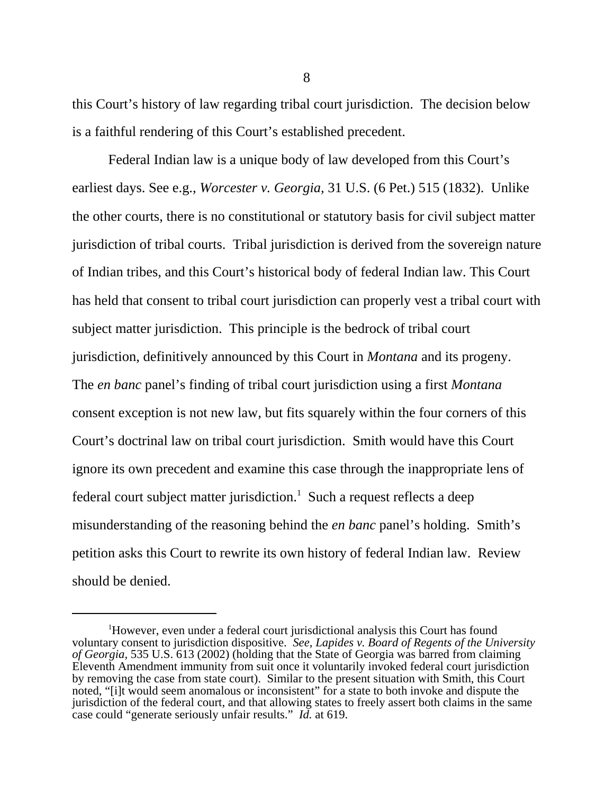this Court's history of law regarding tribal court jurisdiction. The decision below is a faithful rendering of this Court's established precedent.

Federal Indian law is a unique body of law developed from this Court's earliest days. See e.g., *Worcester v. Georgia,* 31 U.S. (6 Pet.) 515 (1832). Unlike the other courts, there is no constitutional or statutory basis for civil subject matter jurisdiction of tribal courts. Tribal jurisdiction is derived from the sovereign nature of Indian tribes, and this Court's historical body of federal Indian law. This Court has held that consent to tribal court jurisdiction can properly vest a tribal court with subject matter jurisdiction. This principle is the bedrock of tribal court jurisdiction, definitively announced by this Court in *Montana* and its progeny. The *en banc* panel's finding of tribal court jurisdiction using a first *Montana* consent exception is not new law, but fits squarely within the four corners of this Court's doctrinal law on tribal court jurisdiction. Smith would have this Court ignore its own precedent and examine this case through the inappropriate lens of federal court subject matter jurisdiction.<sup>1</sup> Such a request reflects a deep misunderstanding of the reasoning behind the *en banc* panel's holding. Smith's petition asks this Court to rewrite its own history of federal Indian law. Review should be denied.

<sup>&</sup>lt;sup>1</sup>However, even under a federal court jurisdictional analysis this Court has found voluntary consent to jurisdiction dispositive. *See, Lapides v. Board of Regents of the University of Georgia,* 535 U.S. 613 (2002) (holding that the State of Georgia was barred from claiming Eleventh Amendment immunity from suit once it voluntarily invoked federal court jurisdiction by removing the case from state court). Similar to the present situation with Smith, this Court noted, "[i]t would seem anomalous or inconsistent" for a state to both invoke and dispute the jurisdiction of the federal court, and that allowing states to freely assert both claims in the same case could "generate seriously unfair results." *Id.* at 619.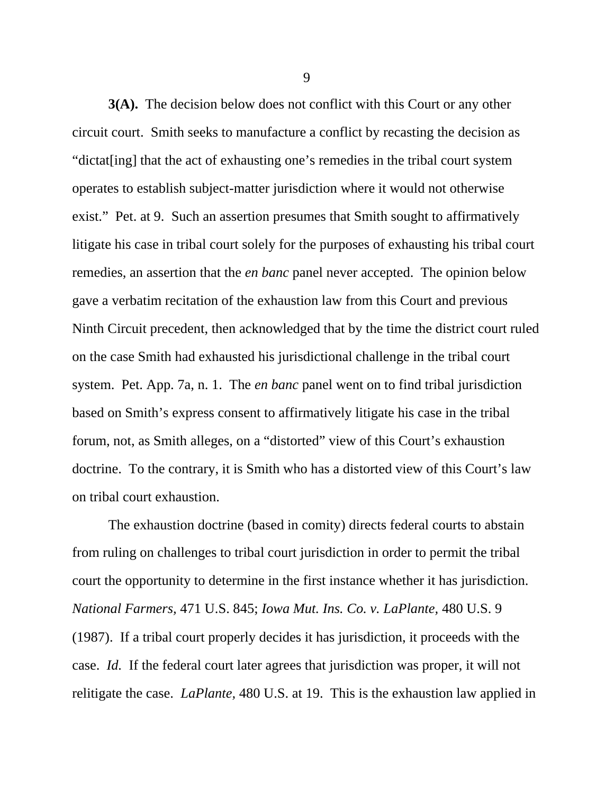**3(A).** The decision below does not conflict with this Court or any other circuit court. Smith seeks to manufacture a conflict by recasting the decision as "dictat[ing] that the act of exhausting one's remedies in the tribal court system operates to establish subject-matter jurisdiction where it would not otherwise exist." Pet. at 9. Such an assertion presumes that Smith sought to affirmatively litigate his case in tribal court solely for the purposes of exhausting his tribal court remedies, an assertion that the *en banc* panel never accepted. The opinion below gave a verbatim recitation of the exhaustion law from this Court and previous Ninth Circuit precedent, then acknowledged that by the time the district court ruled on the case Smith had exhausted his jurisdictional challenge in the tribal court system. Pet. App. 7a, n. 1. The *en banc* panel went on to find tribal jurisdiction based on Smith's express consent to affirmatively litigate his case in the tribal forum, not, as Smith alleges, on a "distorted" view of this Court's exhaustion doctrine. To the contrary, it is Smith who has a distorted view of this Court's law on tribal court exhaustion.

The exhaustion doctrine (based in comity) directs federal courts to abstain from ruling on challenges to tribal court jurisdiction in order to permit the tribal court the opportunity to determine in the first instance whether it has jurisdiction. *National Farmers,* 471 U.S. 845; *Iowa Mut. Ins. Co. v. LaPlante,* 480 U.S. 9 (1987). If a tribal court properly decides it has jurisdiction, it proceeds with the case. *Id.* If the federal court later agrees that jurisdiction was proper, it will not relitigate the case. *LaPlante,* 480 U.S. at 19. This is the exhaustion law applied in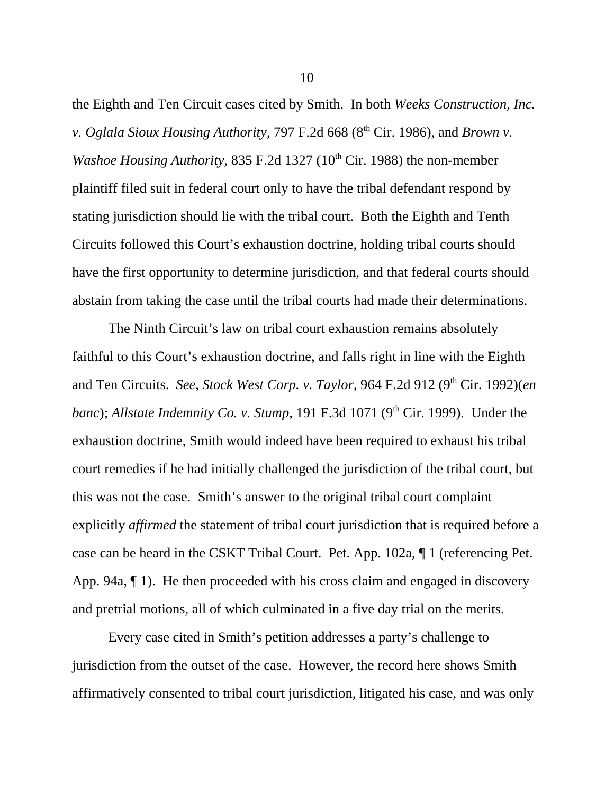the Eighth and Ten Circuit cases cited by Smith. In both *Weeks Construction, Inc. v. Oglala Sioux Housing Authority, 797 F.2d 668 (8<sup>th</sup> Cir. 1986), and <i>Brown v. Washoe Housing Authority, 835 F.2d 1327 (10<sup>th</sup> Cir. 1988)* the non-member plaintiff filed suit in federal court only to have the tribal defendant respond by stating jurisdiction should lie with the tribal court. Both the Eighth and Tenth Circuits followed this Court's exhaustion doctrine, holding tribal courts should have the first opportunity to determine jurisdiction, and that federal courts should abstain from taking the case until the tribal courts had made their determinations.

The Ninth Circuit's law on tribal court exhaustion remains absolutely faithful to this Court's exhaustion doctrine, and falls right in line with the Eighth and Ten Circuits. *See, Stock West Corp. v. Taylor,* 964 F.2d 912 (9th Cir. 1992)(*en banc*); *Allstate Indemnity Co. v. Stump*, 191 F.3d 1071 (9<sup>th</sup> Cir. 1999). Under the exhaustion doctrine, Smith would indeed have been required to exhaust his tribal court remedies if he had initially challenged the jurisdiction of the tribal court, but this was not the case. Smith's answer to the original tribal court complaint explicitly *affirmed* the statement of tribal court jurisdiction that is required before a case can be heard in the CSKT Tribal Court. Pet. App. 102a, ¶ 1 (referencing Pet. App. 94a, ¶ 1). He then proceeded with his cross claim and engaged in discovery and pretrial motions, all of which culminated in a five day trial on the merits.

Every case cited in Smith's petition addresses a party's challenge to jurisdiction from the outset of the case. However, the record here shows Smith affirmatively consented to tribal court jurisdiction, litigated his case, and was only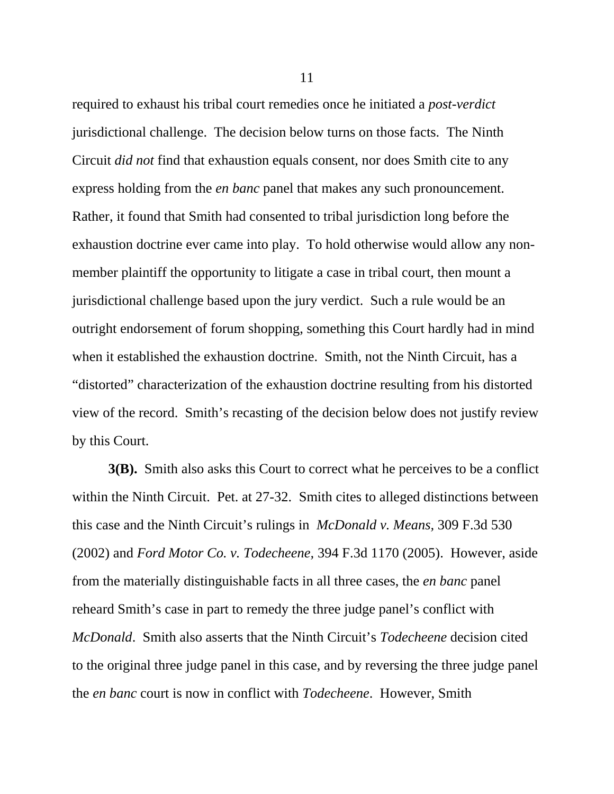required to exhaust his tribal court remedies once he initiated a *post-verdict* jurisdictional challenge. The decision below turns on those facts. The Ninth Circuit *did not* find that exhaustion equals consent, nor does Smith cite to any express holding from the *en banc* panel that makes any such pronouncement. Rather, it found that Smith had consented to tribal jurisdiction long before the exhaustion doctrine ever came into play. To hold otherwise would allow any nonmember plaintiff the opportunity to litigate a case in tribal court, then mount a jurisdictional challenge based upon the jury verdict. Such a rule would be an outright endorsement of forum shopping, something this Court hardly had in mind when it established the exhaustion doctrine. Smith, not the Ninth Circuit, has a "distorted" characterization of the exhaustion doctrine resulting from his distorted view of the record. Smith's recasting of the decision below does not justify review by this Court.

**3(B).** Smith also asks this Court to correct what he perceives to be a conflict within the Ninth Circuit. Pet. at 27-32. Smith cites to alleged distinctions between this case and the Ninth Circuit's rulings in *McDonald v. Means,* 309 F.3d 530 (2002) and *Ford Motor Co. v. Todecheene,* 394 F.3d 1170 (2005). However, aside from the materially distinguishable facts in all three cases, the *en banc* panel reheard Smith's case in part to remedy the three judge panel's conflict with *McDonald*. Smith also asserts that the Ninth Circuit's *Todecheene* decision cited to the original three judge panel in this case, and by reversing the three judge panel the *en banc* court is now in conflict with *Todecheene*. However, Smith